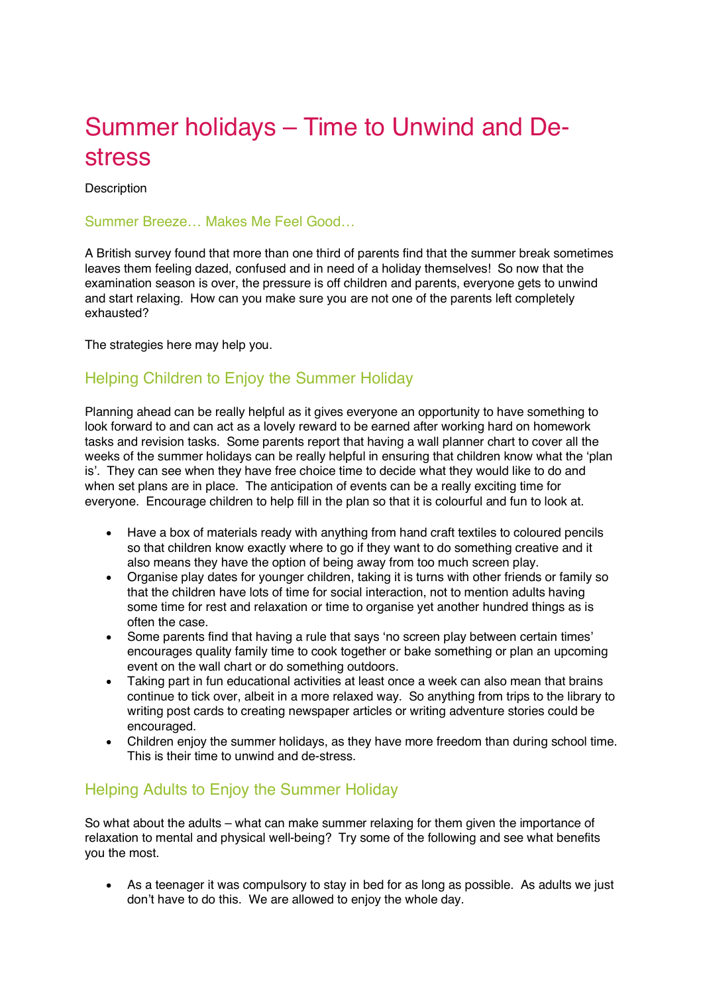## Summer holidays – Time to Unwind and Destress

**Description** 

## Summer Breeze… Makes Me Feel Good…

A British survey found that more than one third of parents find that the summer break sometimes leaves them feeling dazed, confused and in need of a holiday themselves! So now that the examination season is over, the pressure is off children and parents, everyone gets to unwind and start relaxing. How can you make sure you are not one of the parents left completely exhausted?

The strategies here may help you.

## Helping Children to Enjoy the Summer Holiday

Planning ahead can be really helpful as it gives everyone an opportunity to have something to look forward to and can act as a lovely reward to be earned after working hard on homework tasks and revision tasks. Some parents report that having a wall planner chart to cover all the weeks of the summer holidays can be really helpful in ensuring that children know what the 'plan is'. They can see when they have free choice time to decide what they would like to do and when set plans are in place. The anticipation of events can be a really exciting time for everyone. Encourage children to help fill in the plan so that it is colourful and fun to look at.

- Have a box of materials ready with anything from hand craft textiles to coloured pencils so that children know exactly where to go if they want to do something creative and it also means they have the option of being away from too much screen play.
- Organise play dates for younger children, taking it is turns with other friends or family so that the children have lots of time for social interaction, not to mention adults having some time for rest and relaxation or time to organise yet another hundred things as is often the case.
- Some parents find that having a rule that says 'no screen play between certain times' encourages quality family time to cook together or bake something or plan an upcoming event on the wall chart or do something outdoors.
- Taking part in fun educational activities at least once a week can also mean that brains continue to tick over, albeit in a more relaxed way. So anything from trips to the library to writing post cards to creating newspaper articles or writing adventure stories could be encouraged.
- Children enjoy the summer holidays, as they have more freedom than during school time. This is their time to unwind and de-stress.

## Helping Adults to Enjoy the Summer Holiday

So what about the adults – what can make summer relaxing for them given the importance of relaxation to mental and physical well-being? Try some of the following and see what benefits you the most.

• As a teenager it was compulsory to stay in bed for as long as possible. As adults we just don't have to do this. We are allowed to enjoy the whole day.